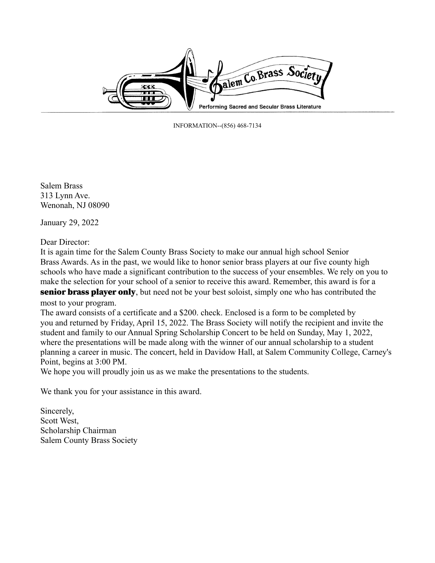

INFORMATION--(856) 468-7134

Salem Brass 313 Lynn Ave. Wenonah, NJ 08090

January 29, 2022

Dear Director:

It is again time for the Salem County Brass Society to make our annual high school Senior Brass Awards. As in the past, we would like to honor senior brass players at our five county high schools who have made a significant contribution to the success of your ensembles. We rely on you to make the selection for your school of a senior to receive this award. Remember, this award is for a **senior brass player only**, but need not be your best soloist, simply one who has contributed the

most to your program.

The award consists of a certificate and a \$200. check. Enclosed is a form to be completed by you and returned by Friday, April 15, 2022. The Brass Society will notify the recipient and invite the student and family to our Annual Spring Scholarship Concert to be held on Sunday, May 1, 2022, where the presentations will be made along with the winner of our annual scholarship to a student planning a career in music. The concert, held in Davidow Hall, at Salem Community College, Carney's Point, begins at 3:00 PM.

We hope you will proudly join us as we make the presentations to the students.

We thank you for your assistance in this award.

Sincerely, Scott West, Scholarship Chairman Salem County Brass Society